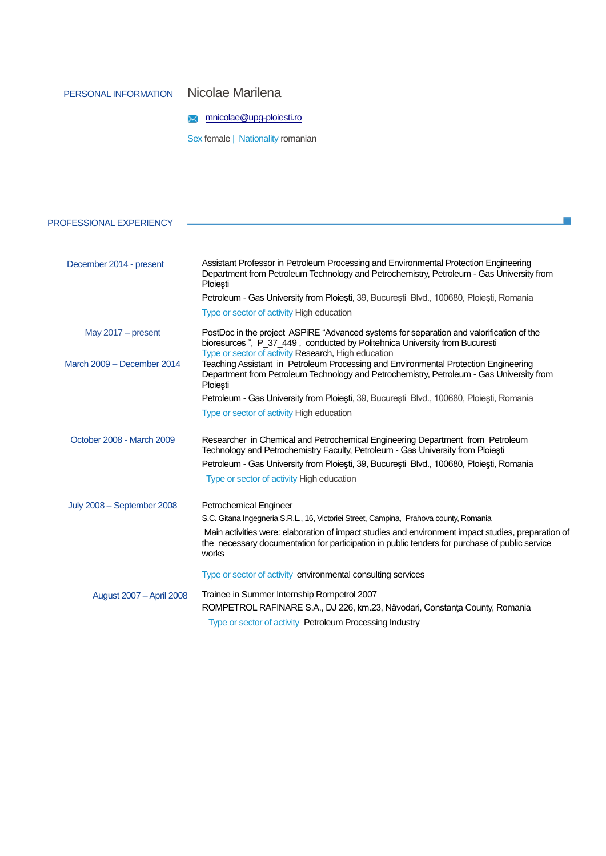## PERSONAL INFORMATION Nicolae Marilena

## **M** [mnicolae@upg-ploiesti.ro](mailto:mnicolae@upg-ploiesti.ro)

Sex female | Nationality romanian

| PROFESSIONAL EXPERIENCY    |                                                                                                                                                                                                                               |  |  |  |
|----------------------------|-------------------------------------------------------------------------------------------------------------------------------------------------------------------------------------------------------------------------------|--|--|--|
|                            |                                                                                                                                                                                                                               |  |  |  |
| December 2014 - present    | Assistant Professor in Petroleum Processing and Environmental Protection Engineering<br>Department from Petroleum Technology and Petrochemistry, Petroleum - Gas University from<br>Ploiești                                  |  |  |  |
|                            | Petroleum - Gas University from Ploiești, 39, București Blvd., 100680, Ploiești, Romania                                                                                                                                      |  |  |  |
|                            | Type or sector of activity High education                                                                                                                                                                                     |  |  |  |
| May 2017 - present         | PostDoc in the project ASPiRE "Advanced systems for separation and valorification of the<br>bioresurces", P_37_449, conducted by Politehnica University from Bucuresti<br>Type or sector of activity Research, High education |  |  |  |
| March 2009 - December 2014 | Teaching Assistant in Petroleum Processing and Environmental Protection Engineering<br>Department from Petroleum Technology and Petrochemistry, Petroleum - Gas University from<br>Ploiești                                   |  |  |  |
|                            | Petroleum - Gas University from Ploiesti, 39, Bucuresti Blvd., 100680, Ploiesti, Romania                                                                                                                                      |  |  |  |
|                            | Type or sector of activity High education                                                                                                                                                                                     |  |  |  |
| October 2008 - March 2009  | Researcher in Chemical and Petrochemical Engineering Department from Petroleum<br>Technology and Petrochemistry Faculty, Petroleum - Gas University from Ploiești                                                             |  |  |  |
|                            | Petroleum - Gas University from Ploiești, 39, București Blvd., 100680, Ploiești, Romania                                                                                                                                      |  |  |  |
|                            | Type or sector of activity High education                                                                                                                                                                                     |  |  |  |
| July 2008 - September 2008 | Petrochemical Engineer                                                                                                                                                                                                        |  |  |  |
|                            | S.C. Gitana Ingegneria S.R.L., 16, Victoriei Street, Campina, Prahova county, Romania                                                                                                                                         |  |  |  |
|                            | Main activities were: elaboration of impact studies and environment impact studies, preparation of<br>the necessary documentation for participation in public tenders for purchase of public service<br>works                 |  |  |  |
|                            | Type or sector of activity environmental consulting services                                                                                                                                                                  |  |  |  |
| August 2007 - April 2008   | Trainee in Summer Internship Rompetrol 2007                                                                                                                                                                                   |  |  |  |
|                            | ROMPETROL RAFINARE S.A., DJ 226, km.23, Năvodari, Constanța County, Romania                                                                                                                                                   |  |  |  |
|                            | Type or sector of activity Petroleum Processing Industry                                                                                                                                                                      |  |  |  |